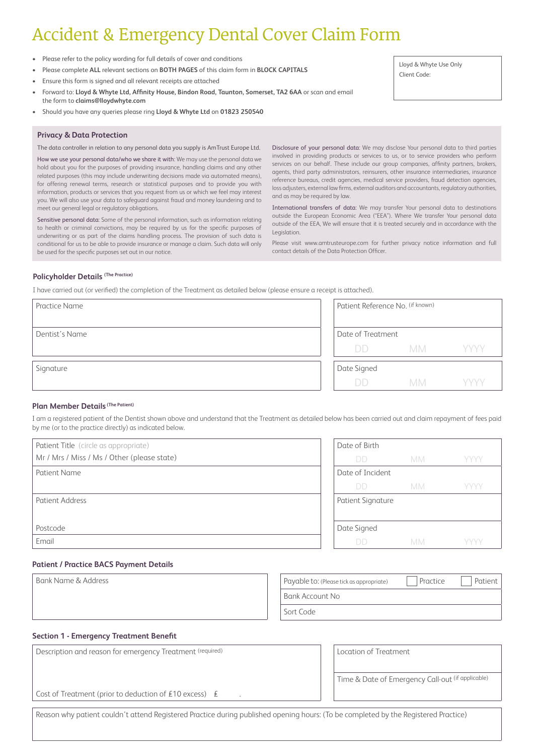# Accident & Emergency Dental Cover Claim Form

- Please refer to the policy wording for full details of cover and conditions
- Please complete **ALL** relevant sections on **BOTH PAGES** of this claim form in **BLOCK CAPITALS**
- Ensure this form is signed and all relevant receipts are attached
- Forward to: **Lloyd & Whyte Ltd, Affinity House, Bindon Road, Taunton, Somerset, TA2 6AA** or scan and email the form to **claims@lloydwhyte.com**
- Should you have any queries please ring **Lloyd & Whyte Ltd** on **01823 250540**

#### **Privacy & Data Protection**

The data controller in relation to any personal data you supply is AmTrust Europe Ltd.

How we use your personal data/who we share it with: We may use the personal data we hold about you for the purposes of providing insurance, handling claims and any other related purposes (this may include underwriting decisions made via automated means), for offering renewal terms, research or statistical purposes and to provide you with information, products or services that you request from us or which we feel may interest you. We will also use your data to safeguard against fraud and money laundering and to meet our general legal or regulatory obligations.

Sensitive personal data: Some of the personal information, such as information relating to health or criminal convictions, may be required by us for the specific purposes of underwriting or as part of the claims handling process. The provision of such data is conditional for us to be able to provide insurance or manage a claim. Such data will only be used for the specific purposes set out in our notice.

Disclosure of your personal data: We may disclose Your personal data to third parties involved in providing products or services to us, or to service providers who perform services on our behalf. These include our group companies, affinity partners, brokers, agents, third party administrators, reinsurers, other insurance intermediaries, insurance reference bureaus, credit agencies, medical service providers, fraud detection agencies, loss adjusters, external law firms, external auditors and accountants, regulatory authorities, and as may be required by law.

International transfers of data: We may transfer Your personal data to destinations outside the European Economic Area ("EEA"). Where We transfer Your personal data outside of the EEA, We will ensure that it is treated securely and in accordance with the Legislation.

Please visit www.amtrusteurope.com for further privacy notice information and full contact details of the Data Protection Officer.

### **Policyholder Details (The Practice)**

I have carried out (or verified) the completion of the Treatment as detailed below (please ensure a receipt is attached).

| <b>Practice Name</b> | Patient Reference No. (if known) |           |      |  |
|----------------------|----------------------------------|-----------|------|--|
| Dentist's Name       | Date of Treatment                |           |      |  |
|                      | <b>DD</b>                        | MM YYYY   |      |  |
| Signature            | Date Signed                      |           |      |  |
|                      | DD.                              | <b>MM</b> | YYYY |  |

#### **Plan Member Details (The Patient)**

I am a registered patient of the Dentist shown above and understand that the Treatment as detailed below has been carried out and claim repayment of fees paid by me (or to the practice directly) as indicated below.

| Patient Title (circle as appropriate)       |  |
|---------------------------------------------|--|
| Mr / Mrs / Miss / Ms / Other (please state) |  |
| Patient Name                                |  |
|                                             |  |
| Patient Address                             |  |
|                                             |  |
| Postcode                                    |  |
| Email                                       |  |

| Date of Birth            |           |      |
|--------------------------|-----------|------|
| DD)                      | <b>MM</b> | YYYY |
| Date of Incident         |           |      |
| $\Box$                   | МM        | YYYY |
| <b>Patient Signature</b> |           |      |
|                          |           |      |
| Date Signed              |           |      |
|                          | <b>MM</b> | YYYY |

## **Patient / Practice BACS Payment Details**

Bank Name & Address **Payable to: (Please tick as appropriate)** Practice Patient Bank Account No Sort Code

# **Section 1 - Emergency Treatment Benefit**

| Description and reason for emergency Treatment (required) | Location of Treatment                             |
|-----------------------------------------------------------|---------------------------------------------------|
|                                                           |                                                   |
|                                                           | Time & Date of Emergency Call-out (if applicable) |
|                                                           |                                                   |
| Cost of Treatment (prior to deduction of £10 excess) $E$  |                                                   |
|                                                           |                                                   |
|                                                           |                                                   |

Reason why patient couldn't attend Registered Practice during published opening hours: (To be completed by the Registered Practice)

Lloyd & Whyte Use Only Client Code: